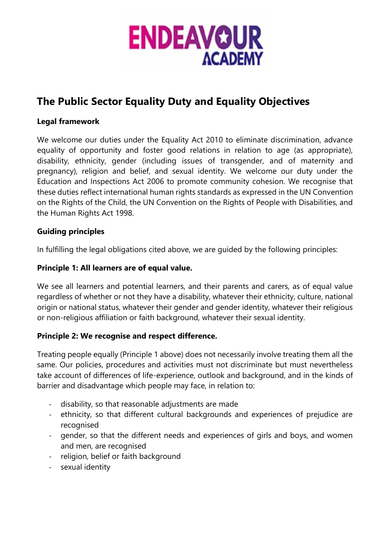

## **The Public Sector Equality Duty and Equality Objectives**

### **Legal framework**

We welcome our duties under the Equality Act 2010 to eliminate discrimination, advance equality of opportunity and foster good relations in relation to age (as appropriate), disability, ethnicity, gender (including issues of transgender, and of maternity and pregnancy), religion and belief, and sexual identity. We welcome our duty under the Education and Inspections Act 2006 to promote community cohesion. We recognise that these duties reflect international human rights standards as expressed in the UN Convention on the Rights of the Child, the UN Convention on the Rights of People with Disabilities, and the Human Rights Act 1998.

## **Guiding principles**

In fulfilling the legal obligations cited above, we are guided by the following principles:

#### **Principle 1: All learners are of equal value.**

We see all learners and potential learners, and their parents and carers, as of equal value regardless of whether or not they have a disability, whatever their ethnicity, culture, national origin or national status, whatever their gender and gender identity, whatever their religious or non-religious affiliation or faith background, whatever their sexual identity.

#### **Principle 2: We recognise and respect difference.**

Treating people equally (Principle 1 above) does not necessarily involve treating them all the same. Our policies, procedures and activities must not discriminate but must nevertheless take account of differences of life-experience, outlook and background, and in the kinds of barrier and disadvantage which people may face, in relation to:

- disability, so that reasonable adjustments are made
- ethnicity, so that different cultural backgrounds and experiences of prejudice are recognised
- gender, so that the different needs and experiences of girls and boys, and women and men, are recognised
- religion, belief or faith background
- sexual identity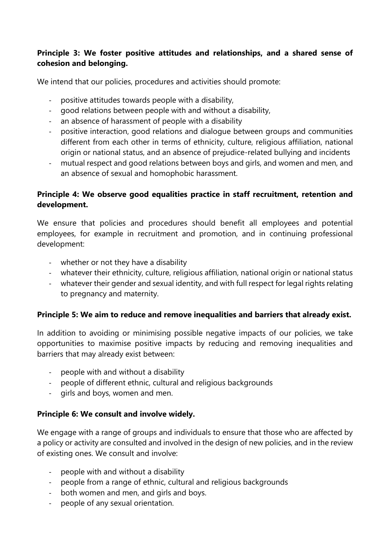## **Principle 3: We foster positive attitudes and relationships, and a shared sense of cohesion and belonging.**

We intend that our policies, procedures and activities should promote:

- positive attitudes towards people with a disability,
- good relations between people with and without a disability,
- an absence of harassment of people with a disability
- positive interaction, good relations and dialogue between groups and communities different from each other in terms of ethnicity, culture, religious affiliation, national origin or national status, and an absence of prejudice-related bullying and incidents
- mutual respect and good relations between boys and girls, and women and men, and an absence of sexual and homophobic harassment.

## **Principle 4: We observe good equalities practice in staff recruitment, retention and development.**

We ensure that policies and procedures should benefit all employees and potential employees, for example in recruitment and promotion, and in continuing professional development:

- whether or not they have a disability
- whatever their ethnicity, culture, religious affiliation, national origin or national status
- whatever their gender and sexual identity, and with full respect for legal rights relating to pregnancy and maternity.

## **Principle 5: We aim to reduce and remove inequalities and barriers that already exist.**

In addition to avoiding or minimising possible negative impacts of our policies, we take opportunities to maximise positive impacts by reducing and removing inequalities and barriers that may already exist between:

- people with and without a disability
- people of different ethnic, cultural and religious backgrounds
- girls and boys, women and men.

## **Principle 6: We consult and involve widely.**

We engage with a range of groups and individuals to ensure that those who are affected by a policy or activity are consulted and involved in the design of new policies, and in the review of existing ones. We consult and involve:

- people with and without a disability
- people from a range of ethnic, cultural and religious backgrounds
- both women and men, and girls and boys.
- people of any sexual orientation.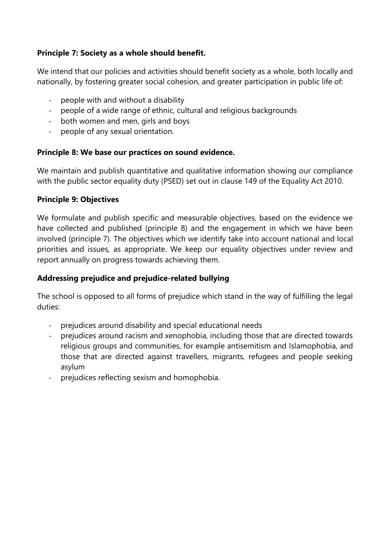## **Principle 7: Society as a whole should benefit.**

We intend that our policies and activities should benefit society as a whole, both locally and nationally, by fostering greater social cohesion, and greater participation in public life of:

- people with and without a disability
- people of a wide range of ethnic, cultural and religious backgrounds
- both women and men, girls and boys
- people of any sexual orientation.

#### **Principle 8: We base our practices on sound evidence.**

We maintain and publish quantitative and qualitative information showing our compliance with the public sector equality duty (PSED) set out in clause 149 of the Equality Act 2010.

#### **Principle 9: Objectives**

We formulate and publish specific and measurable objectives, based on the evidence we have collected and published (principle 8) and the engagement in which we have been involved (principle 7). The objectives which we identify take into account national and local priorities and issues, as appropriate. We keep our equality objectives under review and report annually on progress towards achieving them.

#### **Addressing prejudice and prejudice-related bullying**

The school is opposed to all forms of prejudice which stand in the way of fulfilling the legal duties:

- prejudices around disability and special educational needs
- prejudices around racism and xenophobia, including those that are directed towards religious groups and communities, for example antisemitism and Islamophobia, and those that are directed against travellers, migrants, refugees and people seeking asylum
- prejudices reflecting sexism and homophobia.